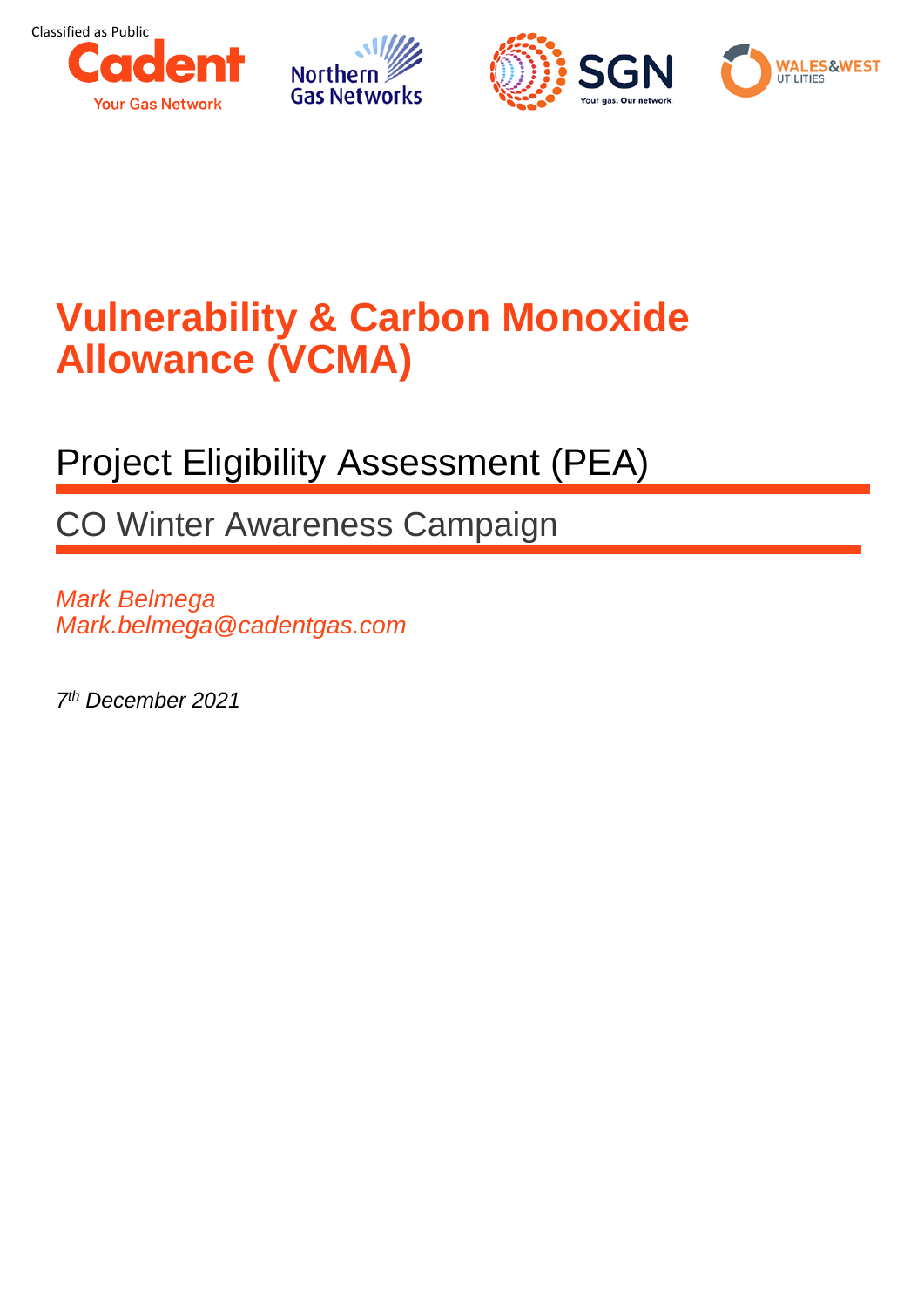





# **Vulnerability & Carbon Monoxide Allowance (VCMA)**

## Project Eligibility Assessment (PEA)

CO Winter Awareness Campaign

*Mark Belmega Mark.belmega@cadentgas.com*

*7 th December 2021*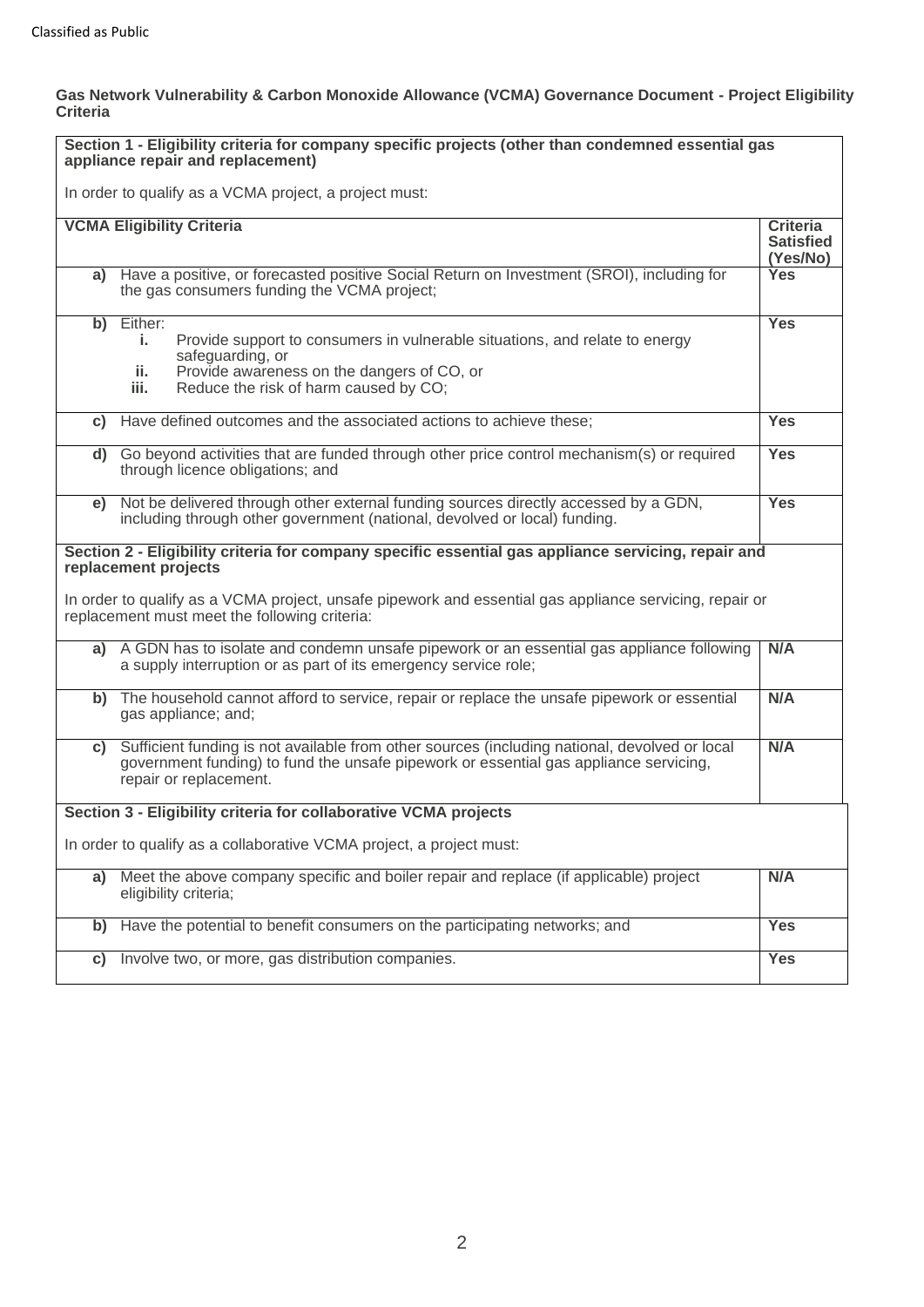#### **Gas Network Vulnerability & Carbon Monoxide Allowance (VCMA) Governance Document - Project Eligibility Criteria**

|                                                                                                                                                                                                                                                                                         | Section 1 - Eligibility criteria for company specific projects (other than condemned essential gas<br>appliance repair and replacement)                                                                                |                                                 |  |  |  |
|-----------------------------------------------------------------------------------------------------------------------------------------------------------------------------------------------------------------------------------------------------------------------------------------|------------------------------------------------------------------------------------------------------------------------------------------------------------------------------------------------------------------------|-------------------------------------------------|--|--|--|
|                                                                                                                                                                                                                                                                                         | In order to qualify as a VCMA project, a project must:                                                                                                                                                                 |                                                 |  |  |  |
|                                                                                                                                                                                                                                                                                         | <b>VCMA Eligibility Criteria</b>                                                                                                                                                                                       | <b>Criteria</b><br><b>Satisfied</b><br>(Yes/No) |  |  |  |
|                                                                                                                                                                                                                                                                                         | a) Have a positive, or forecasted positive Social Return on Investment (SROI), including for<br>the gas consumers funding the VCMA project;                                                                            | <b>Yes</b>                                      |  |  |  |
| b)                                                                                                                                                                                                                                                                                      | Either:<br>Provide support to consumers in vulnerable situations, and relate to energy<br>i.<br>safeguarding, or<br>Provide awareness on the dangers of CO, or<br>ii.<br>Reduce the risk of harm caused by CO;<br>iii. | <b>Yes</b>                                      |  |  |  |
|                                                                                                                                                                                                                                                                                         | c) Have defined outcomes and the associated actions to achieve these;                                                                                                                                                  | <b>Yes</b>                                      |  |  |  |
|                                                                                                                                                                                                                                                                                         | d) Go beyond activities that are funded through other price control mechanism(s) or required<br>through licence obligations; and                                                                                       | <b>Yes</b>                                      |  |  |  |
| e)                                                                                                                                                                                                                                                                                      | Not be delivered through other external funding sources directly accessed by a GDN,<br>including through other government (national, devolved or local) funding.                                                       | <b>Yes</b>                                      |  |  |  |
| Section 2 - Eligibility criteria for company specific essential gas appliance servicing, repair and<br>replacement projects<br>In order to qualify as a VCMA project, unsafe pipework and essential gas appliance servicing, repair or<br>replacement must meet the following criteria: |                                                                                                                                                                                                                        |                                                 |  |  |  |
| a)                                                                                                                                                                                                                                                                                      | A GDN has to isolate and condemn unsafe pipework or an essential gas appliance following<br>a supply interruption or as part of its emergency service role;                                                            | N/A                                             |  |  |  |
|                                                                                                                                                                                                                                                                                         | b) The household cannot afford to service, repair or replace the unsafe pipework or essential<br>gas appliance; and;                                                                                                   | N/A                                             |  |  |  |
| C)                                                                                                                                                                                                                                                                                      | Sufficient funding is not available from other sources (including national, devolved or local<br>government funding) to fund the unsafe pipework or essential gas appliance servicing,<br>repair or replacement.       | N/A                                             |  |  |  |
| Section 3 - Eligibility criteria for collaborative VCMA projects                                                                                                                                                                                                                        |                                                                                                                                                                                                                        |                                                 |  |  |  |
| In order to qualify as a collaborative VCMA project, a project must:                                                                                                                                                                                                                    |                                                                                                                                                                                                                        |                                                 |  |  |  |
| a)                                                                                                                                                                                                                                                                                      | Meet the above company specific and boiler repair and replace (if applicable) project<br>eligibility criteria;                                                                                                         | N/A                                             |  |  |  |
| b)                                                                                                                                                                                                                                                                                      | Have the potential to benefit consumers on the participating networks; and                                                                                                                                             | Yes                                             |  |  |  |
| C)                                                                                                                                                                                                                                                                                      | Involve two, or more, gas distribution companies.                                                                                                                                                                      | <b>Yes</b>                                      |  |  |  |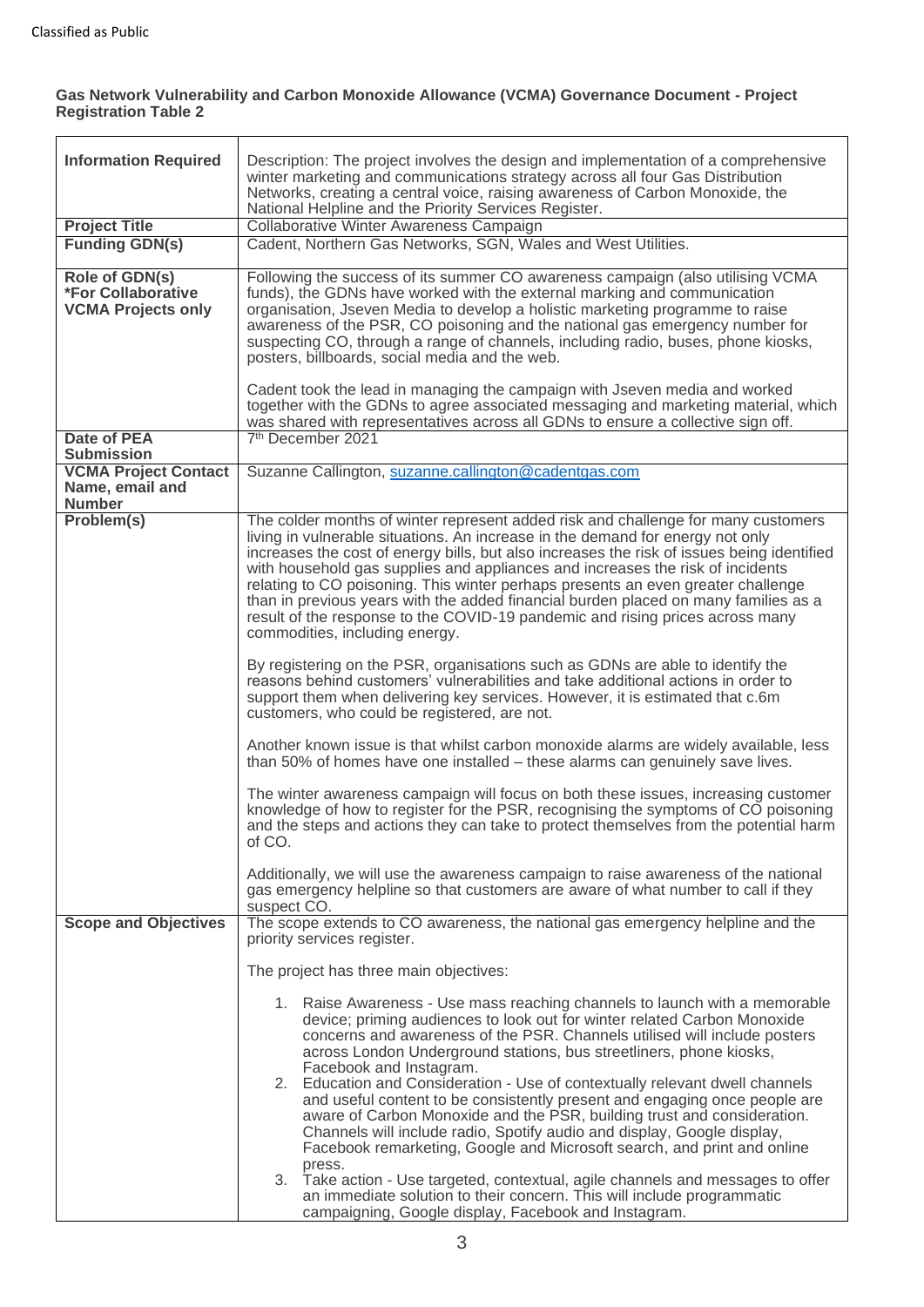### **Gas Network Vulnerability and Carbon Monoxide Allowance (VCMA) Governance Document - Project Registration Table 2**

| <b>Information Required</b>                                              | Description: The project involves the design and implementation of a comprehensive<br>winter marketing and communications strategy across all four Gas Distribution<br>Networks, creating a central voice, raising awareness of Carbon Monoxide, the                                                                                                                                                                                                                                                                                                                                                                                                                                                                                                                                                                                                                                                                                                                                                                                                                                                                                                                                                                                                                                                                                                                                                                                                                                                                                                                                          |  |  |  |
|--------------------------------------------------------------------------|-----------------------------------------------------------------------------------------------------------------------------------------------------------------------------------------------------------------------------------------------------------------------------------------------------------------------------------------------------------------------------------------------------------------------------------------------------------------------------------------------------------------------------------------------------------------------------------------------------------------------------------------------------------------------------------------------------------------------------------------------------------------------------------------------------------------------------------------------------------------------------------------------------------------------------------------------------------------------------------------------------------------------------------------------------------------------------------------------------------------------------------------------------------------------------------------------------------------------------------------------------------------------------------------------------------------------------------------------------------------------------------------------------------------------------------------------------------------------------------------------------------------------------------------------------------------------------------------------|--|--|--|
|                                                                          | National Helpline and the Priority Services Register.                                                                                                                                                                                                                                                                                                                                                                                                                                                                                                                                                                                                                                                                                                                                                                                                                                                                                                                                                                                                                                                                                                                                                                                                                                                                                                                                                                                                                                                                                                                                         |  |  |  |
| <b>Project Title</b><br><b>Funding GDN(s)</b>                            | Collaborative Winter Awareness Campaign<br>Cadent, Northern Gas Networks, SGN, Wales and West Utilities.                                                                                                                                                                                                                                                                                                                                                                                                                                                                                                                                                                                                                                                                                                                                                                                                                                                                                                                                                                                                                                                                                                                                                                                                                                                                                                                                                                                                                                                                                      |  |  |  |
|                                                                          |                                                                                                                                                                                                                                                                                                                                                                                                                                                                                                                                                                                                                                                                                                                                                                                                                                                                                                                                                                                                                                                                                                                                                                                                                                                                                                                                                                                                                                                                                                                                                                                               |  |  |  |
| Role of GDN(s)<br><b>*For Collaborative</b><br><b>VCMA Projects only</b> | Following the success of its summer CO awareness campaign (also utilising VCMA<br>funds), the GDNs have worked with the external marking and communication<br>organisation, Jseven Media to develop a holistic marketing programme to raise<br>awareness of the PSR, CO poisoning and the national gas emergency number for<br>suspecting CO, through a range of channels, including radio, buses, phone kiosks,<br>posters, billboards, social media and the web.                                                                                                                                                                                                                                                                                                                                                                                                                                                                                                                                                                                                                                                                                                                                                                                                                                                                                                                                                                                                                                                                                                                            |  |  |  |
|                                                                          | Cadent took the lead in managing the campaign with Jseven media and worked<br>together with the GDNs to agree associated messaging and marketing material, which<br>was shared with representatives across all GDNs to ensure a collective sign off.                                                                                                                                                                                                                                                                                                                                                                                                                                                                                                                                                                                                                                                                                                                                                                                                                                                                                                                                                                                                                                                                                                                                                                                                                                                                                                                                          |  |  |  |
| <b>Date of PEA</b><br><b>Submission</b>                                  | 7 <sup>th</sup> December 2021                                                                                                                                                                                                                                                                                                                                                                                                                                                                                                                                                                                                                                                                                                                                                                                                                                                                                                                                                                                                                                                                                                                                                                                                                                                                                                                                                                                                                                                                                                                                                                 |  |  |  |
| <b>VCMA Project Contact</b><br>Name, email and<br><b>Number</b>          | Suzanne Callington, suzanne.callington@cadentgas.com                                                                                                                                                                                                                                                                                                                                                                                                                                                                                                                                                                                                                                                                                                                                                                                                                                                                                                                                                                                                                                                                                                                                                                                                                                                                                                                                                                                                                                                                                                                                          |  |  |  |
| Problem(s)                                                               | The colder months of winter represent added risk and challenge for many customers<br>living in vulnerable situations. An increase in the demand for energy not only<br>increases the cost of energy bills, but also increases the risk of issues being identified<br>with household gas supplies and appliances and increases the risk of incidents<br>relating to CO poisoning. This winter perhaps presents an even greater challenge<br>than in previous years with the added financial burden placed on many families as a<br>result of the response to the COVID-19 pandemic and rising prices across many<br>commodities, including energy.<br>By registering on the PSR, organisations such as GDNs are able to identify the<br>reasons behind customers' vulnerabilities and take additional actions in order to<br>support them when delivering key services. However, it is estimated that c.6m<br>customers, who could be registered, are not.<br>Another known issue is that whilst carbon monoxide alarms are widely available, less<br>than 50% of homes have one installed - these alarms can genuinely save lives.<br>The winter awareness campaign will focus on both these issues, increasing customer<br>knowledge of how to register for the PSR, recognising the symptoms of CO poisoning<br>and the steps and actions they can take to protect themselves from the potential harm<br>of CO.<br>Additionally, we will use the awareness campaign to raise awareness of the national<br>gas emergency helpline so that customers are aware of what number to call if they |  |  |  |
| <b>Scope and Objectives</b>                                              | suspect CO.<br>The scope extends to CO awareness, the national gas emergency helpline and the                                                                                                                                                                                                                                                                                                                                                                                                                                                                                                                                                                                                                                                                                                                                                                                                                                                                                                                                                                                                                                                                                                                                                                                                                                                                                                                                                                                                                                                                                                 |  |  |  |
|                                                                          | priority services register.                                                                                                                                                                                                                                                                                                                                                                                                                                                                                                                                                                                                                                                                                                                                                                                                                                                                                                                                                                                                                                                                                                                                                                                                                                                                                                                                                                                                                                                                                                                                                                   |  |  |  |
|                                                                          | The project has three main objectives:                                                                                                                                                                                                                                                                                                                                                                                                                                                                                                                                                                                                                                                                                                                                                                                                                                                                                                                                                                                                                                                                                                                                                                                                                                                                                                                                                                                                                                                                                                                                                        |  |  |  |
|                                                                          | 1. Raise Awareness - Use mass reaching channels to launch with a memorable<br>device; priming audiences to look out for winter related Carbon Monoxide<br>concerns and awareness of the PSR. Channels utilised will include posters<br>across London Underground stations, bus streetliners, phone kiosks,<br>Facebook and Instagram.<br>2. Education and Consideration - Use of contextually relevant dwell channels<br>and useful content to be consistently present and engaging once people are<br>aware of Carbon Monoxide and the PSR, building trust and consideration.<br>Channels will include radio, Spotify audio and display, Google display,<br>Facebook remarketing, Google and Microsoft search, and print and online<br>press.<br>3. Take action - Use targeted, contextual, agile channels and messages to offer<br>an immediate solution to their concern. This will include programmatic                                                                                                                                                                                                                                                                                                                                                                                                                                                                                                                                                                                                                                                                                   |  |  |  |
|                                                                          | campaigning, Google display, Facebook and Instagram.                                                                                                                                                                                                                                                                                                                                                                                                                                                                                                                                                                                                                                                                                                                                                                                                                                                                                                                                                                                                                                                                                                                                                                                                                                                                                                                                                                                                                                                                                                                                          |  |  |  |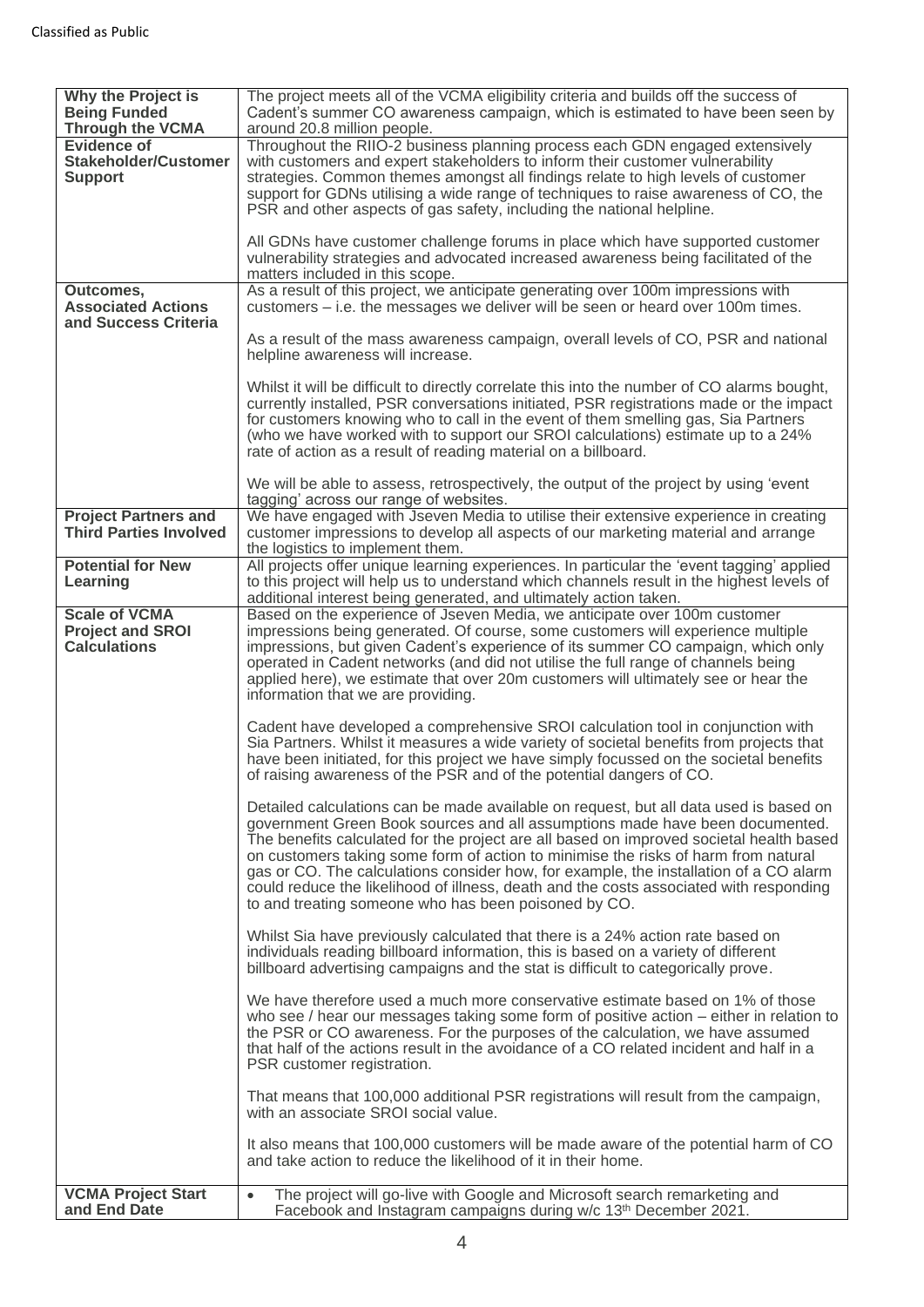| Why the Project is<br><b>Being Funded</b><br><b>Through the VCMA</b> | The project meets all of the VCMA eligibility criteria and builds off the success of<br>Cadent's summer CO awareness campaign, which is estimated to have been seen by<br>around 20.8 million people. |
|----------------------------------------------------------------------|-------------------------------------------------------------------------------------------------------------------------------------------------------------------------------------------------------|
| <b>Evidence of</b>                                                   | Throughout the RIIO-2 business planning process each GDN engaged extensively                                                                                                                          |
| <b>Stakeholder/Customer</b>                                          | with customers and expert stakeholders to inform their customer vulnerability                                                                                                                         |
| <b>Support</b>                                                       | strategies. Common themes amongst all findings relate to high levels of customer                                                                                                                      |
|                                                                      | support for GDNs utilising a wide range of techniques to raise awareness of CO, the                                                                                                                   |
|                                                                      | PSR and other aspects of gas safety, including the national helpline.                                                                                                                                 |
|                                                                      |                                                                                                                                                                                                       |
|                                                                      | All GDNs have customer challenge forums in place which have supported customer                                                                                                                        |
|                                                                      | vulnerability strategies and advocated increased awareness being facilitated of the                                                                                                                   |
|                                                                      | matters included in this scope.                                                                                                                                                                       |
| Outcomes,<br><b>Associated Actions</b>                               | As a result of this project, we anticipate generating over 100m impressions with<br>customers – i.e. the messages we deliver will be seen or heard over 100m times.                                   |
| and Success Criteria                                                 |                                                                                                                                                                                                       |
|                                                                      | As a result of the mass awareness campaign, overall levels of CO, PSR and national                                                                                                                    |
|                                                                      | helpline awareness will increase.                                                                                                                                                                     |
|                                                                      |                                                                                                                                                                                                       |
|                                                                      | Whilst it will be difficult to directly correlate this into the number of CO alarms bought,                                                                                                           |
|                                                                      | currently installed, PSR conversations initiated, PSR registrations made or the impact                                                                                                                |
|                                                                      | for customers knowing who to call in the event of them smelling gas, Sia Partners                                                                                                                     |
|                                                                      | (who we have worked with to support our SROI calculations) estimate up to a 24%                                                                                                                       |
|                                                                      | rate of action as a result of reading material on a billboard.                                                                                                                                        |
|                                                                      | We will be able to assess, retrospectively, the output of the project by using 'event                                                                                                                 |
|                                                                      | tagging' across our range of websites.                                                                                                                                                                |
| <b>Project Partners and</b>                                          | We have engaged with Jseven Media to utilise their extensive experience in creating                                                                                                                   |
| <b>Third Parties Involved</b>                                        | customer impressions to develop all aspects of our marketing material and arrange                                                                                                                     |
|                                                                      | the logistics to implement them.                                                                                                                                                                      |
| <b>Potential for New</b>                                             | All projects offer unique learning experiences. In particular the 'event tagging' applied                                                                                                             |
| Learning                                                             | to this project will help us to understand which channels result in the highest levels of                                                                                                             |
|                                                                      | additional interest being generated, and ultimately action taken.                                                                                                                                     |
| <b>Scale of VCMA</b><br><b>Project and SROI</b>                      | Based on the experience of Jseven Media, we anticipate over 100m customer<br>impressions being generated. Of course, some customers will experience multiple                                          |
| <b>Calculations</b>                                                  | impressions, but given Cadent's experience of its summer CO campaign, which only                                                                                                                      |
|                                                                      | operated in Cadent networks (and did not utilise the full range of channels being                                                                                                                     |
|                                                                      | applied here), we estimate that over 20m customers will ultimately see or hear the                                                                                                                    |
|                                                                      | information that we are providing.                                                                                                                                                                    |
|                                                                      |                                                                                                                                                                                                       |
|                                                                      | Cadent have developed a comprehensive SROI calculation tool in conjunction with                                                                                                                       |
|                                                                      | Sia Partners. Whilst it measures a wide variety of societal benefits from projects that<br>have been initiated, for this project we have simply focussed on the societal benefits                     |
|                                                                      | of raising awareness of the PSR and of the potential dangers of CO.                                                                                                                                   |
|                                                                      |                                                                                                                                                                                                       |
|                                                                      | Detailed calculations can be made available on request, but all data used is based on                                                                                                                 |
|                                                                      | government Green Book sources and all assumptions made have been documented.                                                                                                                          |
|                                                                      | The benefits calculated for the project are all based on improved societal health based                                                                                                               |
|                                                                      | on customers taking some form of action to minimise the risks of harm from natural                                                                                                                    |
|                                                                      | gas or CO. The calculations consider how, for example, the installation of a CO alarm                                                                                                                 |
|                                                                      | could reduce the likelihood of illness, death and the costs associated with responding                                                                                                                |
|                                                                      | to and treating someone who has been poisoned by CO.                                                                                                                                                  |
|                                                                      | Whilst Sia have previously calculated that there is a 24% action rate based on                                                                                                                        |
|                                                                      | individuals reading billboard information, this is based on a variety of different                                                                                                                    |
|                                                                      | billboard advertising campaigns and the stat is difficult to categorically prove.                                                                                                                     |
|                                                                      |                                                                                                                                                                                                       |
|                                                                      | We have therefore used a much more conservative estimate based on 1% of those                                                                                                                         |
|                                                                      | who see / hear our messages taking some form of positive action – either in relation to                                                                                                               |
|                                                                      | the PSR or CO awareness. For the purposes of the calculation, we have assumed                                                                                                                         |
|                                                                      | that half of the actions result in the avoidance of a CO related incident and half in a<br>PSR customer registration.                                                                                 |
|                                                                      |                                                                                                                                                                                                       |
|                                                                      | That means that 100,000 additional PSR registrations will result from the campaign,                                                                                                                   |
|                                                                      | with an associate SROI social value.                                                                                                                                                                  |
|                                                                      |                                                                                                                                                                                                       |
|                                                                      | It also means that 100,000 customers will be made aware of the potential harm of CO                                                                                                                   |
|                                                                      | and take action to reduce the likelihood of it in their home.                                                                                                                                         |
| <b>VCMA Project Start</b>                                            | The project will go-live with Google and Microsoft search remarketing and<br>$\bullet$                                                                                                                |
| and End Date                                                         | Facebook and Instagram campaigns during w/c 13th December 2021.                                                                                                                                       |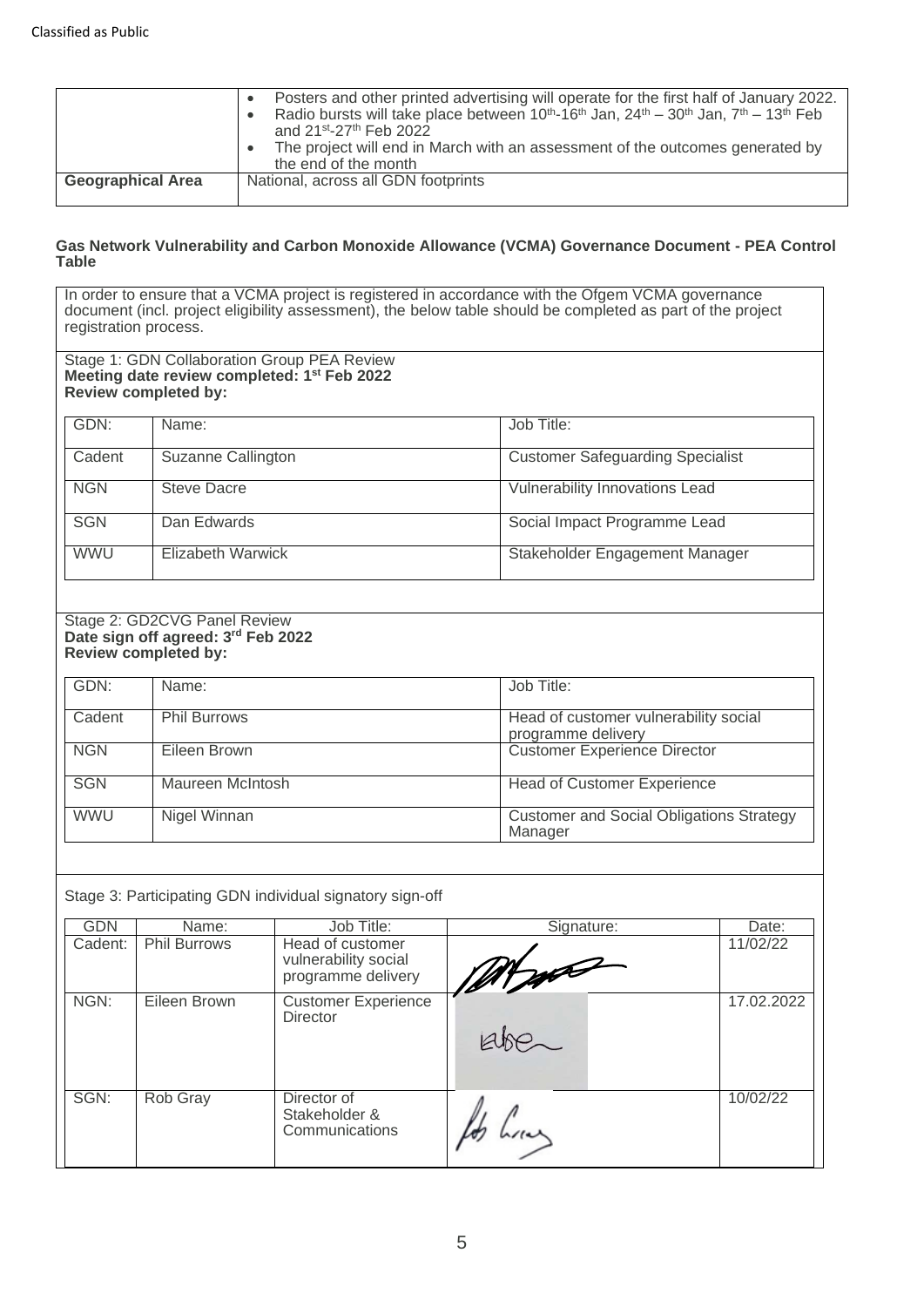|                          | Posters and other printed advertising will operate for the first half of January 2022.<br>Radio bursts will take place between $10^{\text{th}} - 16^{\text{th}}$ Jan, $24^{\text{th}} - 30^{\text{th}}$ Jan, $7^{\text{th}} - 13^{\text{th}}$ Feb<br>and 21st-27th Feb 2022 |
|--------------------------|-----------------------------------------------------------------------------------------------------------------------------------------------------------------------------------------------------------------------------------------------------------------------------|
|                          | The project will end in March with an assessment of the outcomes generated by<br>the end of the month                                                                                                                                                                       |
| <b>Geographical Area</b> | National, across all GDN footprints                                                                                                                                                                                                                                         |

#### **Gas Network Vulnerability and Carbon Monoxide Allowance (VCMA) Governance Document - PEA Control Table**

In order to ensure that a VCMA project is registered in accordance with the Ofgem VCMA governance document (incl. project eligibility assessment), the below table should be completed as part of the project registration process.

| Stage 1: GDN Collaboration Group PEA Review<br>Meeting date review completed: 1 <sup>st</sup> Feb 2022<br><b>Review completed by:</b> |                    |                                         |  |  |
|---------------------------------------------------------------------------------------------------------------------------------------|--------------------|-----------------------------------------|--|--|
| GDN:                                                                                                                                  | Name:              | Job Title:                              |  |  |
| Cadent                                                                                                                                | Suzanne Callington | <b>Customer Safeguarding Specialist</b> |  |  |
| <b>NGN</b>                                                                                                                            | <b>Steve Dacre</b> | <b>Vulnerability Innovations Lead</b>   |  |  |
| <b>SGN</b>                                                                                                                            | Dan Edwards        | Social Impact Programme Lead            |  |  |
| <b>WWU</b>                                                                                                                            | Elizabeth Warwick  | Stakeholder Engagement Manager          |  |  |

#### Stage 2: GD2CVG Panel Review **Date sign off agreed: 3 rd Feb 2022 Review completed by:**

| GDN:       | Name:               | Job Title:                                                  |
|------------|---------------------|-------------------------------------------------------------|
| Cadent     | <b>Phil Burrows</b> | Head of customer vulnerability social<br>programme delivery |
| <b>NGN</b> | Eileen Brown        | <b>Customer Experience Director</b>                         |
| <b>SGN</b> | Maureen McIntosh    | <b>Head of Customer Experience</b>                          |
| <b>WWU</b> | Nigel Winnan        | <b>Customer and Social Obligations Strategy</b><br>Manager  |

### Stage 3: Participating GDN individual signatory sign-off

| GDN     | Name:               | Job Title:                                                     | Signature: | Date:      |
|---------|---------------------|----------------------------------------------------------------|------------|------------|
| Cadent: | <b>Phil Burrows</b> | Head of customer<br>vulnerability social<br>programme delivery | WITHAN     | 11/02/22   |
| NGN:    | Eileen Brown        | <b>Customer Experience</b><br><b>Director</b>                  |            | 17.02.2022 |
| SGN:    | Rob Gray            | Director of<br>Stakeholder &<br>Communications                 | M/L        | 10/02/22   |